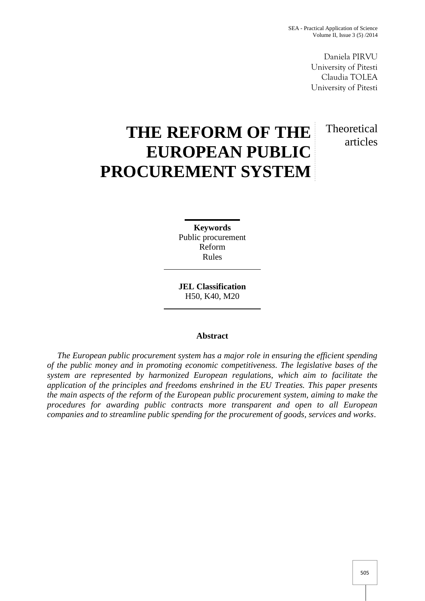Daniela PIRVU University of Pitesti Claudia TOLEA University of Pitesti

**Theoretical** 

articles

# **THE REFORM OF THE EUROPEAN PUBLIC PROCUREMENT SYSTEM**

**Keywords** Public procurement Reform Rules

**JEL Classification** H50, K40, M20

## **Abstract**

*The European public procurement system has a major role in ensuring the efficient spending of the public money and in promoting economic competitiveness. The legislative bases of the system are represented by harmonized European regulations, which aim to facilitate the application of the principles and freedoms enshrined in the EU Treaties. This paper presents the main aspects of the reform of the European public procurement system, aiming to make the procedures for awarding public contracts more transparent and open to all European companies and to streamline public spending for the procurement of goods, services and works*.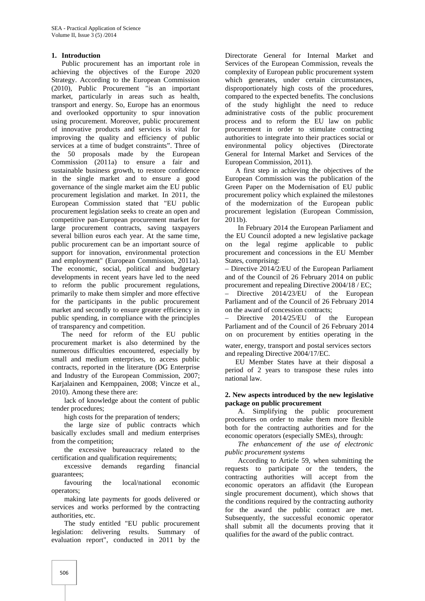## **1. Introduction**

Public procurement has an important role in achieving the objectives of the Europe 2020 Strategy. According to the European Commission (2010), Public Procurement "is an important market, particularly in areas such as health, transport and energy. So, Europe has an enormous and overlooked opportunity to spur innovation using procurement. Moreover, public procurement of innovative products and services is vital for improving the quality and efficiency of public services at a time of budget constraints". Three of the 50 proposals made by the European Commission (2011a) to ensure a fair and sustainable business growth, to restore confidence in the single market and to ensure a good governance of the single market aim the EU public procurement legislation and market. In 2011, the European Commission stated that "EU public procurement legislation seeks to create an open and competitive pan-European procurement market for large procurement contracts, saving taxpayers several billion euros each year. At the same time, public procurement can be an important source of support for innovation, environmental protection and employment" (European Commission, 2011a). The economic, social, political and budgetary developments in recent years have led to the need to reform the public procurement regulations, primarily to make them simpler and more effective for the participants in the public procurement market and secondly to ensure greater efficiency in public spending, in compliance with the principles of transparency and competition.

The need for reform of the EU public procurement market is also determined by the numerous difficulties encountered, especially by small and medium enterprises, to access public contracts, reported in the literature (DG Enterprise and Industry of the European Commission, 2007; Karjalainen and Kemppainen, 2008; Vincze et al., 2010). Among these there are:

lack of knowledge about the content of public tender procedures;

high costs for the preparation of tenders;

the large size of public contracts which basically excludes small and medium enterprises from the competition;

the excessive bureaucracy related to the certification and qualification requirements;

excessive demands regarding financial guarantees;

favouring the local/national economic operators;

making late payments for goods delivered or services and works performed by the contracting authorities, etc.

The study entitled "EU public procurement legislation: delivering results. Summary of evaluation report", conducted in 2011 by the

Directorate General for Internal Market and Services of the European Commission, reveals the complexity of European public procurement system which generates, under certain circumstances, disproportionately high costs of the procedures, compared to the expected benefits. The conclusions of the study highlight the need to reduce administrative costs of the public procurement process and to reform the EU law on public procurement in order to stimulate contracting authorities to integrate into their practices social or environmental policy objectives (Directorate General for Internal Market and Services of the European Commission, 2011).

A first step in achieving the objectives of the European Commission was the publication of the Green Paper on the Modernisation of EU public procurement policy which explained the milestones of the modernization of the European public procurement legislation (European Commission, 2011b).

In February 2014 the European Parliament and the EU Council adopted a new legislative package on the legal regime applicable to public procurement and concessions in the EU Member States, comprising:

– Directive 2014/2/EU of the European Parliament and of the Council of 26 February 2014 on public procurement and repealing Directive 2004/18 / EC;

– Directive 2014/23/EU of the European Parliament and of the Council of 26 February 2014 on the award of concession contracts;

– Directive 2014/25/EU of the European Parliament and of the Council of 26 February 2014 on on procurement by entities operating in the water, energy, transport and postal services sectors

and repealing Directive 2004/17/EC. EU Member States have at their disposal a period of 2 years to transpose these rules into

national law.

## **2. New aspects introduced by the new legislative package on public procurement**

A. Simplifying the public procurement procedures on order to make them more flexible both for the contracting authorities and for the economic operators (especially SMEs), through:

*The enhancement of the use of electronic public procurement systems*

According to Article 59, when submitting the requests to participate or the tenders, the contracting authorities will accept from the economic operators an affidavit (the European single procurement document), which shows that the conditions required by the contracting authority for the award the public contract are met. Subsequently, the successful economic operator shall submit all the documents proving that it qualifies for the award of the public contract.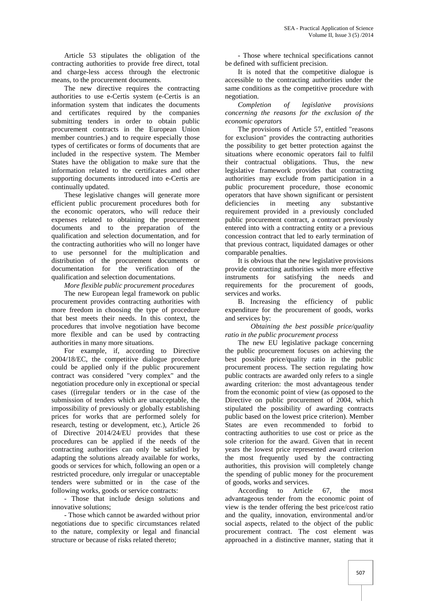Article 53 stipulates the obligation of the contracting authorities to provide free direct, total and charge-less access through the electronic means, to the procurement documents.

The new directive requires the contracting authorities to use e-Certis system (e-Certis is an information system that indicates the documents and certificates required by the companies submitting tenders in order to obtain public procurement contracts in the European Union member countries.) and to require especially those types of certificates or forms of documents that are included in the respective system. The Member States have the obligation to make sure that the information related to the certificates and other supporting documents introduced into e-Certis are continually updated.

These legislative changes will generate more efficient public procurement procedures both for the economic operators, who will reduce their expenses related to obtaining the procurement documents and to the preparation of the qualification and selection documentation, and for the contracting authorities who will no longer have to use personnel for the multiplication and distribution of the procurement documents or documentation for the verification of the qualification and selection documentations.

*More flexible public procurement procedures*

The new European legal framework on public procurement provides contracting authorities with more freedom in choosing the type of procedure that best meets their needs. In this context, the procedures that involve negotiation have become more flexible and can be used by contracting authorities in many more situations.

For example, if, according to Directive 2004/18/EC, the competitive dialogue procedure could be applied only if the public procurement contract was considered "very complex" and the negotiation procedure only in exceptional or special cases ((irregular tenders or in the case of the submission of tenders which are unacceptable, the impossibility of previously or globally establishing prices for works that are performed solely for research, testing or development, etc.), Article 26 of Directive 2014/24/EU provides that these procedures can be applied if the needs of the contracting authorities can only be satisfied by adapting the solutions already available for works, goods or services for which, following an open or a restricted procedure, only irregular or unacceptable tenders were submitted or in the case of the following works, goods or service contracts:

- Those that include design solutions and innovative solutions;

- Those which cannot be awarded without prior negotiations due to specific circumstances related to the nature, complexity or legal and financial structure or because of risks related thereto;

- Those where technical specifications cannot be defined with sufficient precision.

It is noted that the competitive dialogue is accessible to the contracting authorities under the same conditions as the competitive procedure with negotiation.

*Completion of legislative provisions concerning the reasons for the exclusion of the economic operators*

The provisions of Article 57, entitled "reasons for exclusion" provides the contracting authorities the possibility to get better protection against the situations where economic operators fail to fulfil their contractual obligations. Thus, the new legislative framework provides that contracting authorities may exclude from participation in a public procurement procedure, those economic operators that have shown significant or persistent deficiencies in meeting any substantive requirement provided in a previously concluded public procurement contract, a contract previously entered into with a contracting entity or a previous concession contract that led to early termination of that previous contract, liquidated damages or other comparable penalties.

It is obvious that the new legislative provisions provide contracting authorities with more effective instruments for satisfying the needs and requirements for the procurement of goods, services and works.

B. Increasing the efficiency of public expenditure for the procurement of goods, works and services by:

*Obtaining the best possible price/quality ratio in the public procurement process*

The new EU legislative package concerning the public procurement focuses on achieving the best possible price/quality ratio in the public procurement process. The section regulating how public contracts are awarded only refers to a single awarding criterion: the most advantageous tender from the economic point of view (as opposed to the Directive on public procurement of 2004, which stipulated the possibility of awarding contracts public based on the lowest price criterion). Member States are even recommended to forbid to contracting authorities to use cost or price as the sole criterion for the award. Given that in recent years the lowest price represented award criterion the most frequently used by the contracting authorities, this provision will completely change the spending of public money for the procurement of goods, works and services.

According to Article 67, the most advantageous tender from the economic point of view is the tender offering the best price/cost ratio and the quality, innovation, environmental and/or social aspects, related to the object of the public procurement contract. The cost element was approached in a distinctive manner, stating that it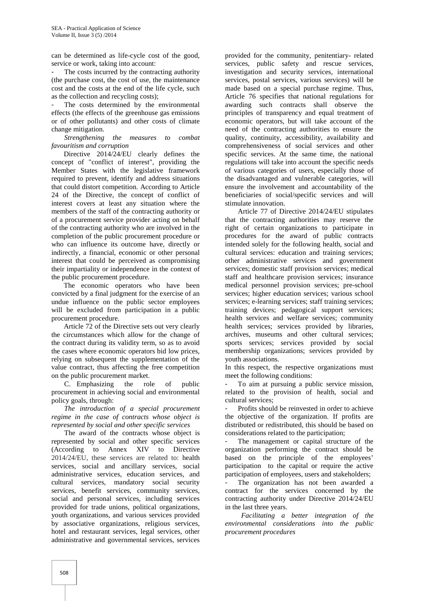can be determined as life-cycle cost of the good, service or work, taking into account:

The costs incurred by the contracting authority (the purchase cost, the cost of use, the maintenance cost and the costs at the end of the life cycle, such as the collection and recycling costs);

The costs determined by the environmental effects (the effects of the greenhouse gas emissions or of other pollutants) and other costs of climate change mitigation.

*Strengthening the measures to combat favouritism and corruption*

Directive 2014/24/EU clearly defines the concept of "conflict of interest", providing the Member States with the legislative framework required to prevent, identify and address situations that could distort competition. According to Article 24 of the Directive, the concept of conflict of interest covers at least any situation where the members of the staff of the contracting authority or of a procurement service provider acting on behalf of the contracting authority who are involved in the completion of the public procurement procedure or who can influence its outcome have, directly or indirectly, a financial, economic or other personal interest that could be perceived as compromising their impartiality or independence in the context of the public procurement procedure.

The economic operators who have been convicted by a final judgment for the exercise of an undue influence on the public sector employees will be excluded from participation in a public procurement procedure.

Article 72 of the Directive sets out very clearly the circumstances which allow for the change of the contract during its validity term, so as to avoid the cases where economic operators bid low prices, relying on subsequent the supplementation of the value contract, thus affecting the free competition on the public procurement market.

C. Emphasizing the role of public procurement in achieving social and environmental policy goals, through:

*The introduction of a special procurement regime in the case of contracts whose object is represented by social and other specific services*

The award of the contracts whose object is represented by social and other specific services (According to Annex XIV to Directive 2014/24/EU, these services are related to: health services, social and ancillary services, social administrative services, education services, and cultural services, mandatory social security services, benefit services, community services, social and personal services, including services provided for trade unions, political organizations, youth organizations, and various services provided by associative organizations, religious services, hotel and restaurant services, legal services, other administrative and governmental services, services

provided for the community, penitentiary- related services, public safety and rescue services, investigation and security services, international services, postal services, various services) will be made based on a special purchase regime. Thus, Article 76 specifies that national regulations for awarding such contracts shall observe the principles of transparency and equal treatment of economic operators, but will take account of the need of the contracting authorities to ensure the quality, continuity, accessibility, availability and comprehensiveness of social services and other specific services. At the same time, the national regulations will take into account the specific needs of various categories of users, especially those of the disadvantaged and vulnerable categories, will ensure the involvement and accountability of the beneficiaries of social/specific services and will stimulate innovation.

Article 77 of Directive 2014/24/EU stipulates that the contracting authorities may reserve the right of certain organizations to participate in procedures for the award of public contracts intended solely for the following health, social and cultural services: education and training services; other administrative services and government services; domestic staff provision services; medical staff and healthcare provision services; insurance medical personnel provision services; pre-school services; higher education services; various school services; e-learning services; staff training services; training devices; pedagogical support services; health services and welfare services; community health services; services provided by libraries, archives, museums and other cultural services; sports services; services provided by social membership organizations; services provided by youth associations.

In this respect, the respective organizations must meet the following conditions:

To aim at pursuing a public service mission, related to the provision of health, social and cultural services;

Profits should be reinvested in order to achieve the objective of the organization. If profits are distributed or redistributed, this should be based on considerations related to the participation;

The management or capital structure of the organization performing the contract should be based on the principle of the employees' participation to the capital or require the active participation of employees, users and stakeholders;

The organization has not been awarded a contract for the services concerned by the contracting authority under Directive 2014/24/EU in the last three years.

*Facilitating a better integration of the environmental considerations into the public procurement procedures*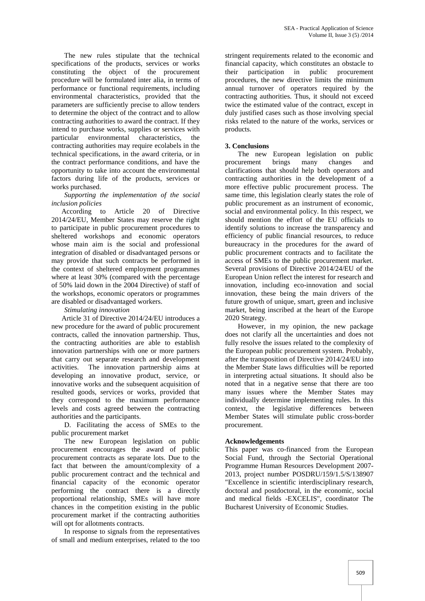The new rules stipulate that the technical specifications of the products, services or works constituting the object of the procurement procedure will be formulated inter alia, in terms of performance or functional requirements, including environmental characteristics, provided that the parameters are sufficiently precise to allow tenders to determine the object of the contract and to allow contracting authorities to award the contract. If they intend to purchase works, supplies or services with particular environmental characteristics, the contracting authorities may require ecolabels in the technical specifications, in the award criteria, or in the contract performance conditions, and have the opportunity to take into account the environmental factors during life of the products, services or works purchased.

*Supporting the implementation of the social inclusion policies*

According to Article 20 of Directive 2014/24/EU, Member States may reserve the right to participate in public procurement procedures to sheltered workshops and economic operators whose main aim is the social and professional integration of disabled or disadvantaged persons or may provide that such contracts be performed in the context of sheltered employment programmes where at least 30% (compared with the percentage of 50% laid down in the 2004 Directive) of staff of the workshops, economic operators or programmes are disabled or disadvantaged workers.

*Stimulating innovation*

Article 31 of Directive 2014/24/EU introduces a new procedure for the award of public procurement contracts, called the innovation partnership. Thus, the contracting authorities are able to establish innovation partnerships with one or more partners that carry out separate research and development activities. The innovation partnership aims at developing an innovative product, service, or innovative works and the subsequent acquisition of resulted goods, services or works, provided that they correspond to the maximum performance levels and costs agreed between the contracting authorities and the participants.

D. Facilitating the access of SMEs to the public procurement market

The new European legislation on public procurement encourages the award of public procurement contracts as separate lots. Due to the fact that between the amount/complexity of a public procurement contract and the technical and financial capacity of the economic operator performing the contract there is a directly proportional relationship, SMEs will have more chances in the competition existing in the public procurement market if the contracting authorities will opt for allotments contracts.

In response to signals from the representatives of small and medium enterprises, related to the too

stringent requirements related to the economic and financial capacity, which constitutes an obstacle to their participation in public procurement procedures, the new directive limits the minimum annual turnover of operators required by the contracting authorities. Thus, it should not exceed twice the estimated value of the contract, except in duly justified cases such as those involving special risks related to the nature of the works, services or products.

## **3. Conclusions**

The new European legislation on public procurement brings many changes and clarifications that should help both operators and contracting authorities in the development of a more effective public procurement process. The same time, this legislation clearly states the role of public procurement as an instrument of economic, social and environmental policy. In this respect, we should mention the effort of the EU officials to identify solutions to increase the transparency and efficiency of public financial resources, to reduce bureaucracy in the procedures for the award of public procurement contracts and to facilitate the access of SMEs to the public procurement market. Several provisions of Directive 2014/24/EU of the European Union reflect the interest for research and innovation, including eco-innovation and social innovation, these being the main drivers of the future growth of unique, smart, green and inclusive market, being inscribed at the heart of the Europe 2020 Strategy.

However, in my opinion, the new package does not clarify all the uncertainties and does not fully resolve the issues related to the complexity of the European public procurement system. Probably, after the transposition of Directive 2014/24/EU into the Member State laws difficulties will be reported in interpreting actual situations. It should also be noted that in a negative sense that there are too many issues where the Member States may individually determine implementing rules. In this context, the legislative differences between Member States will stimulate public cross-border procurement.

## **Acknowledgements**

This paper was co-financed from the European Social Fund, through the Sectorial Operational Programme Human Resources Development 2007- 2013, project number POSDRU/159/1.5/S/138907 "Excellence in scientific interdisciplinary research, doctoral and postdoctoral, in the economic, social and medical fields -EXCELIS", coordinator The Bucharest University of Economic Studies.